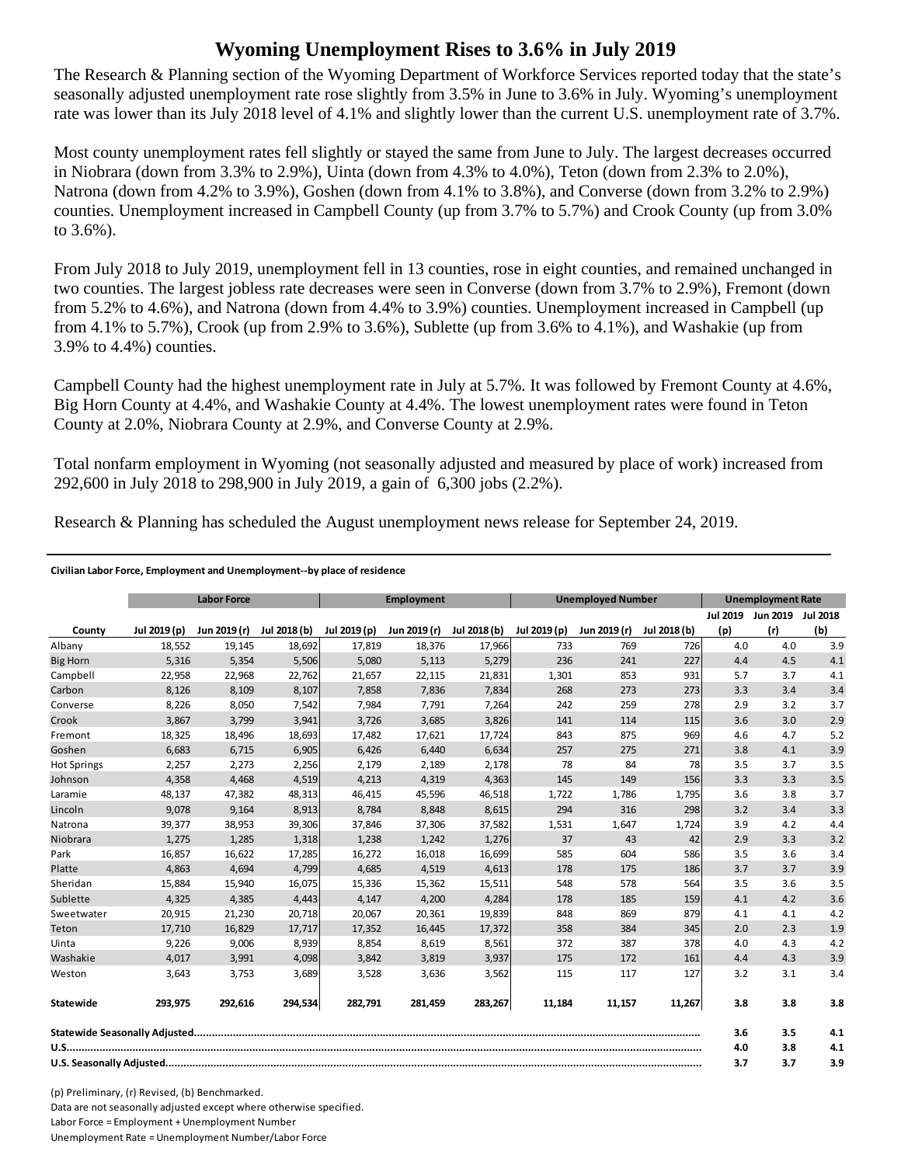## **Wyoming Unemployment Rises to 3.6% in July 2019**

The Research & Planning section of the Wyoming Department of Workforce Services reported today that the state's seasonally adjusted unemployment rate rose slightly from 3.5% in June to 3.6% in July. Wyoming's unemployment rate was lower than its July 2018 level of 4.1% and slightly lower than the current U.S. unemployment rate of 3.7%.

Most county unemployment rates fell slightly or stayed the same from June to July. The largest decreases occurred in Niobrara (down from 3.3% to 2.9%), Uinta (down from 4.3% to 4.0%), Teton (down from 2.3% to 2.0%), Natrona (down from 4.2% to 3.9%), Goshen (down from 4.1% to 3.8%), and Converse (down from 3.2% to 2.9%) counties. Unemployment increased in Campbell County (up from 3.7% to 5.7%) and Crook County (up from 3.0% to 3.6%).

From July 2018 to July 2019, unemployment fell in 13 counties, rose in eight counties, and remained unchanged in two counties. The largest jobless rate decreases were seen in Converse (down from 3.7% to 2.9%), Fremont (down from 5.2% to 4.6%), and Natrona (down from 4.4% to 3.9%) counties. Unemployment increased in Campbell (up from 4.1% to 5.7%), Crook (up from 2.9% to 3.6%), Sublette (up from 3.6% to 4.1%), and Washakie (up from 3.9% to 4.4%) counties.

Campbell County had the highest unemployment rate in July at 5.7%. It was followed by Fremont County at 4.6%, Big Horn County at 4.4%, and Washakie County at 4.4%. The lowest unemployment rates were found in Teton County at 2.0%, Niobrara County at 2.9%, and Converse County at 2.9%.

Total nonfarm employment in Wyoming (not seasonally adjusted and measured by place of work) increased from 292,600 in July 2018 to 298,900 in July 2019, a gain of 6,300 jobs (2.2%).

Research & Planning has scheduled the August unemployment news release for September 24, 2019.

## **Civilian Labor Force, Employment and Unemployment‐‐by place of residence**

|                    | <b>Labor Force</b> |              |              | <b>Employment</b> |              |              | <b>Unemployed Number</b> |              |              | <b>Unemployment Rate</b> |                   |     |
|--------------------|--------------------|--------------|--------------|-------------------|--------------|--------------|--------------------------|--------------|--------------|--------------------------|-------------------|-----|
|                    |                    |              |              |                   |              |              |                          |              |              | <b>Jul 2019</b>          | Jun 2019 Jul 2018 |     |
| County             | Jul 2019 (p)       | Jun 2019 (r) | Jul 2018 (b) | Jul 2019 (p)      | Jun 2019 (r) | Jul 2018 (b) | Jul 2019 (p)             | Jun 2019 (r) | Jul 2018 (b) | (p)                      | (r)               | (b) |
| Albany             | 18,552             | 19,145       | 18,692       | 17,819            | 18,376       | 17,966       | 733                      | 769          | 726          | 4.0                      | 4.0               | 3.9 |
| <b>Big Horn</b>    | 5,316              | 5,354        | 5,506        | 5,080             | 5,113        | 5,279        | 236                      | 241          | 227          | 4.4                      | 4.5               | 4.1 |
| Campbell           | 22,958             | 22,968       | 22,762       | 21,657            | 22,115       | 21,831       | 1,301                    | 853          | 931          | 5.7                      | 3.7               | 4.1 |
| Carbon             | 8,126              | 8,109        | 8,107        | 7,858             | 7,836        | 7,834        | 268                      | 273          | 273          | 3.3                      | 3.4               | 3.4 |
| Converse           | 8,226              | 8,050        | 7,542        | 7,984             | 7,791        | 7,264        | 242                      | 259          | 278          | 2.9                      | 3.2               | 3.7 |
| Crook              | 3,867              | 3,799        | 3,941        | 3,726             | 3,685        | 3,826        | 141                      | 114          | 115          | 3.6                      | 3.0               | 2.9 |
| Fremont            | 18,325             | 18,496       | 18,693       | 17,482            | 17,621       | 17,724       | 843                      | 875          | 969          | 4.6                      | 4.7               | 5.2 |
| Goshen             | 6,683              | 6,715        | 6,905        | 6,426             | 6,440        | 6,634        | 257                      | 275          | 271          | 3.8                      | 4.1               | 3.9 |
| <b>Hot Springs</b> | 2,257              | 2,273        | 2,256        | 2,179             | 2,189        | 2,178        | 78                       | 84           | 78           | 3.5                      | 3.7               | 3.5 |
| Johnson            | 4,358              | 4,468        | 4,519        | 4,213             | 4,319        | 4,363        | 145                      | 149          | 156          | 3.3                      | 3.3               | 3.5 |
| Laramie            | 48,137             | 47,382       | 48,313       | 46,415            | 45,596       | 46,518       | 1,722                    | 1,786        | 1,795        | 3.6                      | 3.8               | 3.7 |
| Lincoln            | 9,078              | 9,164        | 8,913        | 8,784             | 8,848        | 8,615        | 294                      | 316          | 298          | 3.2                      | 3.4               | 3.3 |
| Natrona            | 39,377             | 38,953       | 39,306       | 37,846            | 37,306       | 37,582       | 1,531                    | 1,647        | 1,724        | 3.9                      | 4.2               | 4.4 |
| Niobrara           | 1,275              | 1,285        | 1,318        | 1,238             | 1,242        | 1,276        | 37                       | 43           | 42           | 2.9                      | 3.3               | 3.2 |
| Park               | 16,857             | 16,622       | 17,285       | 16,272            | 16,018       | 16,699       | 585                      | 604          | 586          | 3.5                      | 3.6               | 3.4 |
| Platte             | 4,863              | 4,694        | 4,799        | 4,685             | 4,519        | 4,613        | 178                      | 175          | 186          | 3.7                      | 3.7               | 3.9 |
| Sheridan           | 15,884             | 15,940       | 16,075       | 15,336            | 15,362       | 15,511       | 548                      | 578          | 564          | 3.5                      | 3.6               | 3.5 |
| Sublette           | 4,325              | 4,385        | 4,443        | 4,147             | 4,200        | 4,284        | 178                      | 185          | 159          | 4.1                      | 4.2               | 3.6 |
| Sweetwater         | 20,915             | 21,230       | 20,718       | 20,067            | 20,361       | 19,839       | 848                      | 869          | 879          | 4.1                      | 4.1               | 4.2 |
| Teton              | 17,710             | 16,829       | 17,717       | 17,352            | 16,445       | 17,372       | 358                      | 384          | 345          | 2.0                      | 2.3               | 1.9 |
| Uinta              | 9,226              | 9,006        | 8,939        | 8,854             | 8,619        | 8,561        | 372                      | 387          | 378          | 4.0                      | 4.3               | 4.2 |
| Washakie           | 4,017              | 3,991        | 4,098        | 3,842             | 3,819        | 3,937        | 175                      | 172          | 161          | 4.4                      | 4.3               | 3.9 |
| Weston             | 3,643              | 3.753        | 3,689        | 3.528             | 3,636        | 3,562        | 115                      | 117          | 127          | 3.2                      | 3.1               | 3.4 |
| Statewide          | 293,975            | 292,616      | 294,534      | 282,791           | 281,459      | 283,267      | 11,184                   | 11,157       | 11,267       | 3.8                      | 3.8               | 3.8 |
|                    |                    |              |              |                   |              |              |                          | 3.6          | 3.5          | 4.1                      |                   |     |
|                    |                    |              |              |                   |              |              |                          | 4.0          | 3.8          | 4.1                      |                   |     |
|                    |                    |              |              |                   |              |              |                          | 3.7          | 3.7          | 3.9                      |                   |     |

(p) Preliminary, (r) Revised, (b) Benchmarked. Data are not seasonally adjusted except where otherwise specified. Labor Force = Employment + Unemployment Number Unemployment Rate = Unemployment Number/Labor Force